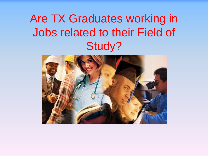# Are TX Graduates working in Jobs related to their Field of Study?

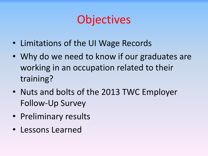# **Objectives**

- Limitations of the UI Wage Records
- Why do we need to know if our graduates are working in an occupation related to their training?
- Nuts and bolts of the 2013 TWC Employer Follow-Up Survey
- Preliminary results
- Lessons Learned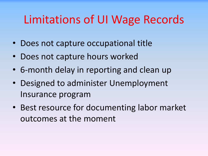# Limitations of UI Wage Records

- Does not capture occupational title
- Does not capture hours worked
- 6-month delay in reporting and clean up
- Designed to administer Unemployment Insurance program
- Best resource for documenting labor market outcomes at the moment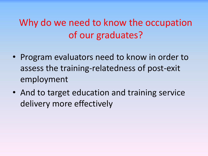#### Why do we need to know the occupation of our graduates?

- Program evaluators need to know in order to assess the training-relatedness of post-exit employment
- And to target education and training service delivery more effectively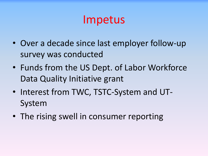#### Impetus

- Over a decade since last employer follow-up survey was conducted
- Funds from the US Dept. of Labor Workforce Data Quality Initiative grant
- Interest from TWC, TSTC-System and UT-System
- The rising swell in consumer reporting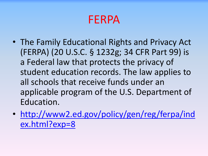#### FERPA

- The Family Educational Rights and Privacy Act (FERPA) (20 U.S.C. § 1232g; 34 CFR Part 99) is a Federal law that protects the privacy of student education records. The law applies to all schools that receive funds under an applicable program of the U.S. Department of Education.
- [http://www2.ed.gov/policy/gen/reg/ferpa/ind](http://www2.ed.gov/policy/gen/reg/ferpa/index.html?exp=8) [ex.html?exp=8](http://www2.ed.gov/policy/gen/reg/ferpa/index.html?exp=8)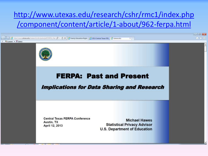#### [http://www.utexas.edu/research/cshr/rmc1/index.php](http://www.utexas.edu/research/cshr/rmc1/index.php/component/content/article/1-about/962-ferpa.html) [/component/content/article/1-about/962-ferpa.html](http://www.utexas.edu/research/cshr/rmc1/index.php/component/content/article/1-about/962-ferpa.html)

ww.utexas.edu/research/csfn/putn/pdf/FERPA\_Part  $\mathcal{Q} \times \mathcal{O} \times \left[ \frac{1}{\sqrt{2}}$  Family Education Right. (2) 2013 Central Texas FER. (2) ttexas.edu Convert - El Select



#### **FERPA: Past and Present**

**Implications for Data Sharing and Research** 

**Central Texas FERPA Conference** Austin, TX April 12, 2013

**Michael Hawes Statistical Privacy Advisor U.S. Department of Education**   $-10^{11} - 3$  $A + 0$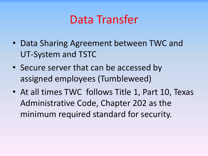#### Data Transfer

- Data Sharing Agreement between TWC and UT-System and TSTC
- Secure server that can be accessed by assigned employees (Tumbleweed)
- At all times TWC follows Title 1, Part 10, Texas Administrative Code, Chapter 202 as the minimum required standard for security.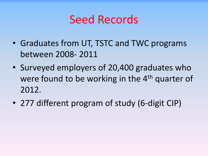#### Seed Records

- Graduates from UT, TSTC and TWC programs between 2008- 2011
- Surveyed employers of 20,400 graduates who were found to be working in the 4<sup>th</sup> quarter of 2012.
- 277 different program of study (6-digit CIP)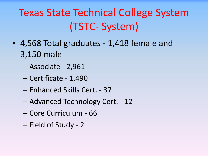# Texas State Technical College System (TSTC- System)

- 4,568 Total graduates 1,418 female and 3,150 male
	- Associate 2,961
	- Certificate 1,490
	- Enhanced Skills Cert. 37
	- Advanced Technology Cert. 12
	- Core Curriculum 66
	- Field of Study 2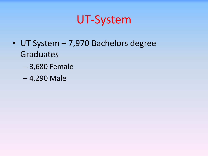### UT-System

- UT System 7,970 Bachelors degree Graduates
	- 3,680 Female
	- 4,290 Male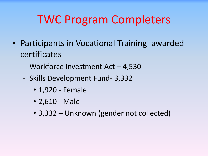# TWC Program Completers

- Participants in Vocational Training awarded certificates
	- Workforce Investment Act 4,530
	- Skills Development Fund- 3,332
		- 1,920 Female
		- 2,610 Male
		- 3,332 Unknown (gender not collected)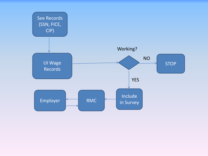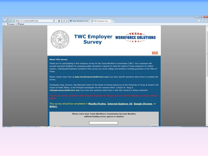

 $X \oplus$ Convert  $\bullet$  E<sup>2</sup>Select

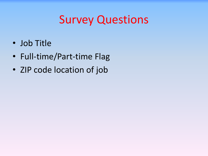# Survey Questions

- Job Title
- Full-time/Part-time Flag
- ZIP code location of job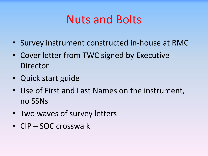## Nuts and Bolts

- Survey instrument constructed in-house at RMC
- Cover letter from TWC signed by Executive Director
- Quick start guide
- Use of First and Last Names on the instrument, no SSNs
- Two waves of survey letters
- CIP SOC crosswalk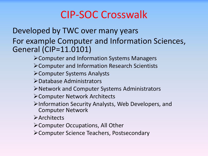#### CIP-SOC Crosswalk

#### Developed by TWC over many years For example Computer and Information Sciences, General (CIP=11.0101)

- Computer and Information Systems Managers
- Computer and Information Research Scientists
- Computer Systems Analysts
- Database Administrators
- Network and Computer Systems Administrators
- Computer Network Architects
- Information Security Analysts, Web Developers, and Computer Network
- **>Architects**
- Computer Occupations, All Other
- Computer Science Teachers, Postsecondary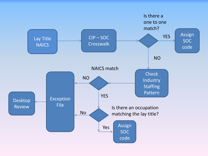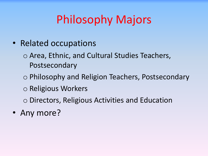# Philosophy Majors

- Related occupations
	- o Area, Ethnic, and Cultural Studies Teachers, Postsecondary
	- o Philosophy and Religion Teachers, Postsecondary
	- o Religious Workers
	- o Directors, Religious Activities and Education
- Any more?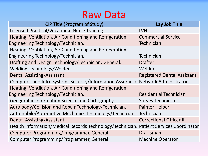#### Raw Data

| <b>CIP Title (Program of Study)</b>                                                    | Lay Job Title                      |
|----------------------------------------------------------------------------------------|------------------------------------|
| Licensed Practical/Vocational Nurse Training.                                          | <b>LVN</b>                         |
| Heating, Ventilation, Air Conditioning and Refrigeration                               | <b>Commercial Service</b>          |
| Engineering Technology/Technician.                                                     | <b>Technician</b>                  |
| Heating, Ventilation, Air Conditioning and Refrigeration                               |                                    |
| Engineering Technology/Technician.                                                     | <b>Technician</b>                  |
| Drafting and Design Technology/Technician, General.                                    | <b>Drafter</b>                     |
| Welding Technology/Welder.                                                             | Welder                             |
| Dental Assisting/Assistant.                                                            | <b>Registered Dental Assistant</b> |
| Computer and Info. Systems Security/Information Assurance. Network Administrator       |                                    |
| Heating, Ventilation, Air Conditioning and Refrigeration                               |                                    |
| Engineering Technology/Technician.                                                     | <b>Residential Technician</b>      |
| Geographic Information Science and Cartography.                                        | <b>Survey Technician</b>           |
| Auto body/Collision and Repair Technology/Technician.                                  | <b>Painter Helper</b>              |
| Automobile/Automotive Mechanics Technology/Technician.                                 | Technician                         |
| Dental Assisting/Assistant.                                                            | <b>Correctional Officer III</b>    |
| Health Information/Medical Records Technology/Technician. Patient Services Coordinator |                                    |
| Computer Programming/Programmer, General.                                              | Draftsman                          |
| Computer Programming/Programmer, General.                                              | <b>Machine Operator</b>            |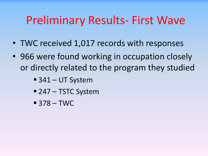# Preliminary Results- First Wave

- TWC received 1,017 records with responses
- 966 were found working in occupation closely or directly related to the program they studied
	- 341 UT System
	- 247 TSTC System
	- $-378 TWC$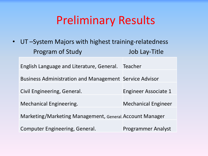# Preliminary Results

• UT –System Majors with highest training-relatedness Program of Study and Job Lay-Title

English Language and Literature, General. Teacher

Business Administration and Management Service Advisor

Civil Engineering, General. The Engineer Associate 1

Mechanical Engineering. Mechanical Engineer

Marketing/Marketing Management, General.Account Manager

Computer Engineering, General. Programmer Analyst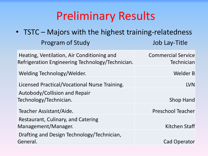# Preliminary Results

• TSTC – Majors with the highest training-relatedness Program of Study Job Lay-Title Heating, Ventilation, Air Conditioning and Refrigeration Engineering Technology/Technician. Commercial Service **Technician** Welding Technology/Welder. Welder B Licensed Practical/Vocational Nurse Training. The Contractional Superintensity of the LVN Autobody/Collision and Repair Technology/Technician. Shop Hand Teacher Assistant/Aide. Preschool Teacher Restaurant, Culinary, and Catering Management/Manager. Kitchen Staff Drafting and Design Technology/Technician, General. Cad Operator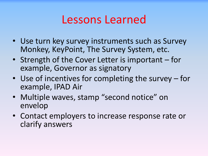#### Lessons Learned

- Use turn key survey instruments such as Survey Monkey, KeyPoint, The Survey System, etc.
- Strength of the Cover Letter is important for example, Governor as signatory
- Use of incentives for completing the survey for example, IPAD Air
- Multiple waves, stamp "second notice" on envelop
- Contact employers to increase response rate or clarify answers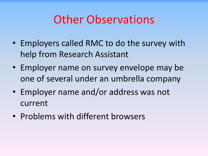### Other Observations

- Employers called RMC to do the survey with help from Research Assistant
- Employer name on survey envelope may be one of several under an umbrella company
- Employer name and/or address was not current
- Problems with different browsers